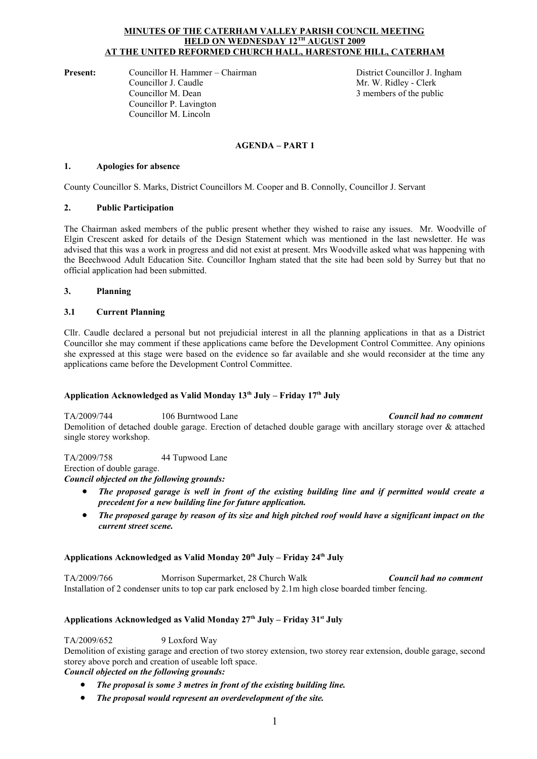### **MINUTES OF THE CATERHAM VALLEY PARISH COUNCIL MEETING HELD ON WEDNESDAY 12TH AUGUST 2009 AT THE UNITED REFORMED CHURCH HALL, HARESTONE HILL, CATERHAM**

**Present:** Councillor H. Hammer – Chairman **District Councillor J. Ingham** Councillor J. Caudle Mr. W. Ridley - Clerk Councillor M. Dean 3 members of the public Councillor P. Lavington Councillor M. Lincoln

# **AGENDA – PART 1**

### **1. Apologies for absence**

County Councillor S. Marks, District Councillors M. Cooper and B. Connolly, Councillor J. Servant

## **2. Public Participation**

The Chairman asked members of the public present whether they wished to raise any issues. Mr. Woodville of Elgin Crescent asked for details of the Design Statement which was mentioned in the last newsletter. He was advised that this was a work in progress and did not exist at present. Mrs Woodville asked what was happening with the Beechwood Adult Education Site. Councillor Ingham stated that the site had been sold by Surrey but that no official application had been submitted.

## **3. Planning**

## **3.1 Current Planning**

Cllr. Caudle declared a personal but not prejudicial interest in all the planning applications in that as a District Councillor she may comment if these applications came before the Development Control Committee. Any opinions she expressed at this stage were based on the evidence so far available and she would reconsider at the time any applications came before the Development Control Committee.

# **Application Acknowledged as Valid Monday 13th July – Friday 17th July**

TA/2009/744 106 Burntwood Lane *Council had no comment* Demolition of detached double garage. Erection of detached double garage with ancillary storage over & attached single storey workshop.

TA/2009/758 44 Tupwood Lane Erection of double garage. *Council objected on the following grounds:*

- *The proposed garage is well in front of the existing building line and if permitted would create a precedent for a new building line for future application.*
- *The proposed garage by reason of its size and high pitched roof would have a significant impact on the current street scene.*

# **Applications Acknowledged as Valid Monday 20th July – Friday 24th July**

TA/2009/766 Morrison Supermarket, 28 Church Walk *Council had no comment* Installation of 2 condenser units to top car park enclosed by 2.1m high close boarded timber fencing.

# **Applications Acknowledged as Valid Monday 27th July – Friday 31st July**

# TA/2009/652 9 Loxford Way

Demolition of existing garage and erection of two storey extension, two storey rear extension, double garage, second storey above porch and creation of useable loft space.

*Council objected on the following grounds:*

- *The proposal is some 3 metres in front of the existing building line.*
- *The proposal would represent an overdevelopment of the site.*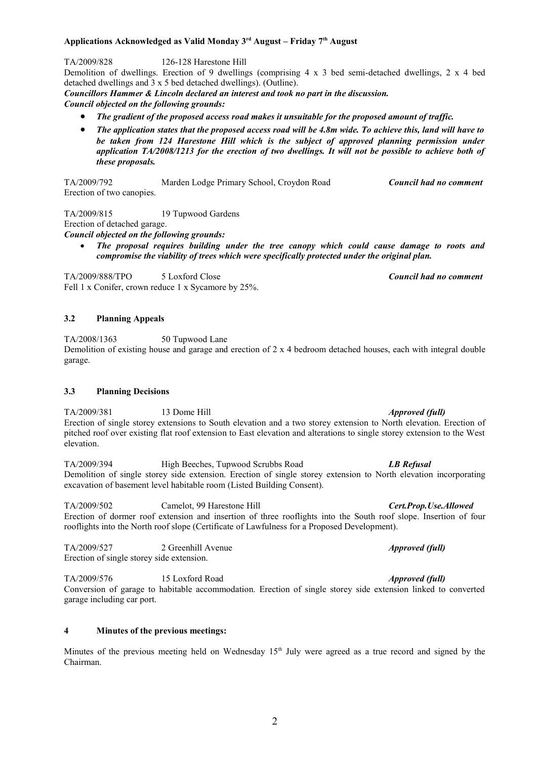## **Applications Acknowledged as Valid Monday 3rd August – Friday 7th August**

TA/2009/828 126-128 Harestone Hill

Demolition of dwellings. Erection of 9 dwellings (comprising  $4 \times 3$  bed semi-detached dwellings, 2 x 4 bed detached dwellings and 3 x 5 bed detached dwellings). (Outline).

*Councillors Hammer & Lincoln declared an interest and took no part in the discussion.*

*Council objected on the following grounds:*

- *The gradient of the proposed access road makes it unsuitable for the proposed amount of traffic.*
- *The application states that the proposed access road will be 4.8m wide. To achieve this, land will have to be taken from 124 Harestone Hill which is the subject of approved planning permission under application TA/2008/1213 for the erection of two dwellings. It will not be possible to achieve both of these proposals.*

TA/2009/792 Marden Lodge Primary School, Croydon Road *Council had no comment* Erection of two canopies.

TA/2009/815 19 Tupwood Gardens Erection of detached garage. *Council objected on the following grounds:*

**The proposal 19 Tup and Gardens**<br> **The proposal requires building under the tree canopy which could cause damage to roots and<br>
<b>•** The proposal requires building under the tree canopy which could cause damage to roots and *compromise the viability of trees which were specifically protected under the original plan.*

TA/2009/888/TPO 5 Loxford Close *Council had no comment* Fell 1 x Conifer, crown reduce 1 x Sycamore by 25%.

## **3.2 Planning Appeals**

TA/2008/1363 50 Tupwood Lane Demolition of existing house and garage and erection of 2 x 4 bedroom detached houses, each with integral double garage.

### **3.3 Planning Decisions**

TA/2009/381 13 Dome Hill *Approved (full)* Erection of single storey extensions to South elevation and a two storey extension to North elevation. Erection of pitched roof over existing flat roof extension to East elevation and alterations to single storey extension to the West elevation.

TA/2009/394 High Beeches, Tupwood Scrubbs Road *LB Refusal* Demolition of single storey side extension. Erection of single storey extension to North elevation incorporating excavation of basement level habitable room (Listed Building Consent).

TA/2009/502 Camelot, 99 Harestone Hill *Cert.Prop.Use.Allowed* Erection of dormer roof extension and insertion of three rooflights into the South roof slope. Insertion of four rooflights into the North roof slope (Certificate of Lawfulness for a Proposed Development).

TA/2009/527 2 Greenhill Avenue *Approved (full)* Erection of single storey side extension.

TA/2009/576 15 Loxford Road *Approved (full)* Conversion of garage to habitable accommodation. Erection of single storey side extension linked to converted garage including car port.

### **4 Minutes of the previous meetings:**

Minutes of the previous meeting held on Wednesday 15<sup>th</sup> July were agreed as a true record and signed by the Chairman.